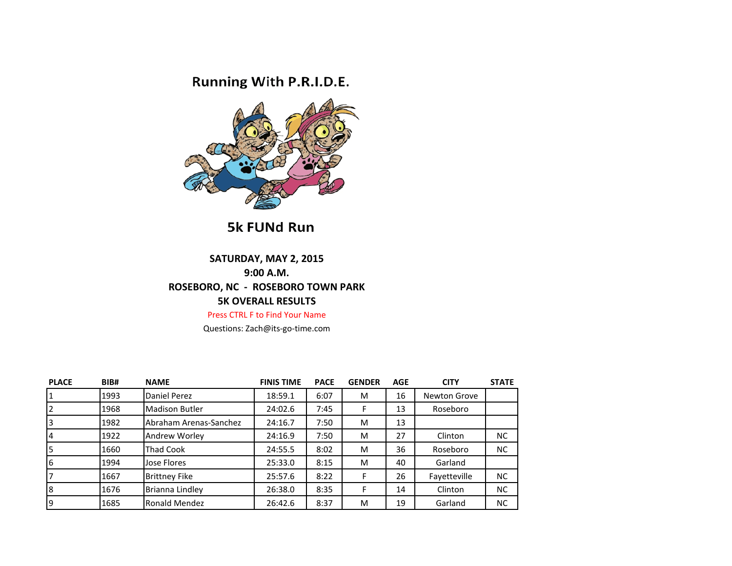## Running With P.R.I.D.E.



5k FUNd Run

## **SATURDAY, MAY 2, 2015 9:00 A.M. ROSEBORO, NC - ROSEBORO TOWN PARK 5K OVERALL RESULTS**

Press CTRL F to Find Your Name

Questions: Zach@its-go-time.com

| <b>PLACE</b>            | BIB# | <b>NAME</b>            | <b>FINIS TIME</b> | <b>PACE</b> | <b>GENDER</b> | <b>AGE</b> | <b>CITY</b>         | <b>STATE</b> |
|-------------------------|------|------------------------|-------------------|-------------|---------------|------------|---------------------|--------------|
| $\overline{\mathbf{1}}$ | 1993 | Daniel Perez           | 18:59.1           | 6:07        | M             | 16         | <b>Newton Grove</b> |              |
| $\overline{2}$          | 1968 | <b>Madison Butler</b>  | 24:02.6           | 7:45        | F             | 13         | Roseboro            |              |
| $\overline{3}$          | 1982 | Abraham Arenas-Sanchez | 24:16.7           | 7:50        | M             | 13         |                     |              |
| $\overline{4}$          | 1922 | Andrew Worley          | 24:16.9           | 7:50        | M             | 27         | Clinton             | <b>NC</b>    |
| 5                       | 1660 | <b>Thad Cook</b>       | 24:55.5           | 8:02        | M             | 36         | Roseboro            | <b>NC</b>    |
| 6                       | 1994 | Jose Flores            | 25:33.0           | 8:15        | M             | 40         | Garland             |              |
| 7                       | 1667 | <b>Brittney Fike</b>   | 25:57.6           | 8:22        | F             | 26         | Fayetteville        | <b>NC</b>    |
| 8                       | 1676 | Brianna Lindley        | 26:38.0           | 8:35        | F             | 14         | Clinton             | <b>NC</b>    |
| İ9                      | 1685 | Ronald Mendez          | 26:42.6           | 8:37        | M             | 19         | Garland             | <b>NC</b>    |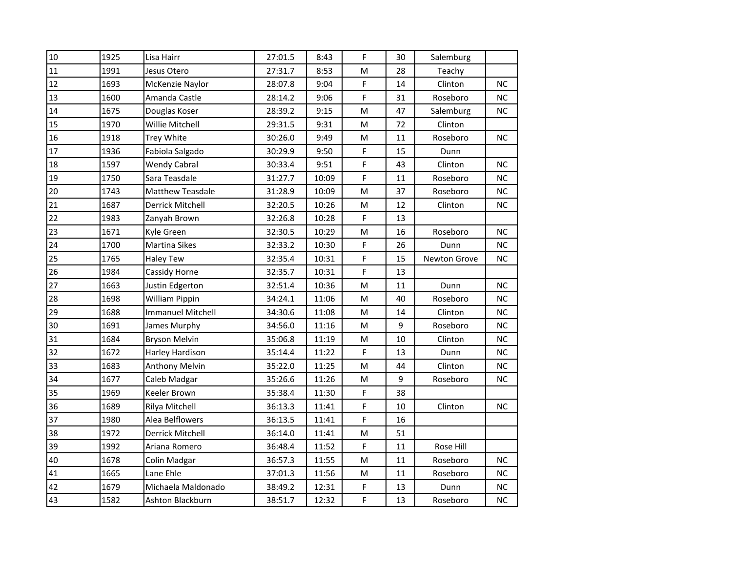| 10 | 1925 | Lisa Hairr               | 27:01.5 | 8:43  | F                                                                                                          | 30 | Salemburg    |           |
|----|------|--------------------------|---------|-------|------------------------------------------------------------------------------------------------------------|----|--------------|-----------|
| 11 | 1991 | Jesus Otero              | 27:31.7 | 8:53  | M                                                                                                          | 28 | Teachy       |           |
| 12 | 1693 | McKenzie Naylor          | 28:07.8 | 9:04  | F                                                                                                          | 14 | Clinton      | <b>NC</b> |
| 13 | 1600 | Amanda Castle            | 28:14.2 | 9:06  | F                                                                                                          | 31 | Roseboro     | <b>NC</b> |
| 14 | 1675 | Douglas Koser            | 28:39.2 | 9:15  | M                                                                                                          | 47 | Salemburg    | <b>NC</b> |
| 15 | 1970 | Willie Mitchell          | 29:31.5 | 9:31  | M                                                                                                          | 72 | Clinton      |           |
| 16 | 1918 | Trey White               | 30:26.0 | 9:49  | ${\sf M}$                                                                                                  | 11 | Roseboro     | <b>NC</b> |
| 17 | 1936 | Fabiola Salgado          | 30:29.9 | 9:50  | F                                                                                                          | 15 | Dunn         |           |
| 18 | 1597 | <b>Wendy Cabral</b>      | 30:33.4 | 9:51  | F                                                                                                          | 43 | Clinton      | <b>NC</b> |
| 19 | 1750 | Sara Teasdale            | 31:27.7 | 10:09 | F                                                                                                          | 11 | Roseboro     | <b>NC</b> |
| 20 | 1743 | <b>Matthew Teasdale</b>  | 31:28.9 | 10:09 | M                                                                                                          | 37 | Roseboro     | NC.       |
| 21 | 1687 | Derrick Mitchell         | 32:20.5 | 10:26 | M                                                                                                          | 12 | Clinton      | <b>NC</b> |
| 22 | 1983 | Zanyah Brown             | 32:26.8 | 10:28 | F                                                                                                          | 13 |              |           |
| 23 | 1671 | Kyle Green               | 32:30.5 | 10:29 | M                                                                                                          | 16 | Roseboro     | <b>NC</b> |
| 24 | 1700 | <b>Martina Sikes</b>     | 32:33.2 | 10:30 | F                                                                                                          | 26 | Dunn         | <b>NC</b> |
| 25 | 1765 | <b>Haley Tew</b>         | 32:35.4 | 10:31 | F                                                                                                          | 15 | Newton Grove | <b>NC</b> |
| 26 | 1984 | Cassidy Horne            | 32:35.7 | 10:31 | F                                                                                                          | 13 |              |           |
| 27 | 1663 | Justin Edgerton          | 32:51.4 | 10:36 | M                                                                                                          | 11 | Dunn         | NC        |
| 28 | 1698 | William Pippin           | 34:24.1 | 11:06 | M                                                                                                          | 40 | Roseboro     | <b>NC</b> |
| 29 | 1688 | <b>Immanuel Mitchell</b> | 34:30.6 | 11:08 | $\mathsf{M}% _{T}=\mathsf{M}_{T}\!\left( a,b\right) ,\ \mathsf{M}_{T}=\mathsf{M}_{T}\!\left( a,b\right) ,$ | 14 | Clinton      | <b>NC</b> |
| 30 | 1691 | James Murphy             | 34:56.0 | 11:16 | M                                                                                                          | 9  | Roseboro     | NC.       |
| 31 | 1684 | <b>Bryson Melvin</b>     | 35:06.8 | 11:19 | M                                                                                                          | 10 | Clinton      | <b>NC</b> |
| 32 | 1672 | Harley Hardison          | 35:14.4 | 11:22 | F                                                                                                          | 13 | Dunn         | NC        |
| 33 | 1683 | Anthony Melvin           | 35:22.0 | 11:25 | M                                                                                                          | 44 | Clinton      | <b>NC</b> |
| 34 | 1677 | Caleb Madgar             | 35:26.6 | 11:26 | M                                                                                                          | 9  | Roseboro     | <b>NC</b> |
| 35 | 1969 | Keeler Brown             | 35:38.4 | 11:30 | F                                                                                                          | 38 |              |           |
| 36 | 1689 | Rilya Mitchell           | 36:13.3 | 11:41 | F                                                                                                          | 10 | Clinton      | <b>NC</b> |
| 37 | 1980 | Alea Belflowers          | 36:13.5 | 11:41 | F                                                                                                          | 16 |              |           |
| 38 | 1972 | Derrick Mitchell         | 36:14.0 | 11:41 | M                                                                                                          | 51 |              |           |
| 39 | 1992 | Ariana Romero            | 36:48.4 | 11:52 | F                                                                                                          | 11 | Rose Hill    |           |
| 40 | 1678 | Colin Madgar             | 36:57.3 | 11:55 | $\mathsf{M}% _{T}=\mathsf{M}_{T}\!\left( a,b\right) ,\ \mathsf{M}_{T}=\mathsf{M}_{T}\!\left( a,b\right) ,$ | 11 | Roseboro     | NC        |
| 41 | 1665 | Lane Ehle                | 37:01.3 | 11:56 | M                                                                                                          | 11 | Roseboro     | <b>NC</b> |
| 42 | 1679 | Michaela Maldonado       | 38:49.2 | 12:31 | F                                                                                                          | 13 | Dunn         | <b>NC</b> |
| 43 | 1582 | Ashton Blackburn         | 38:51.7 | 12:32 | F                                                                                                          | 13 | Roseboro     | <b>NC</b> |
|    |      |                          |         |       |                                                                                                            |    |              |           |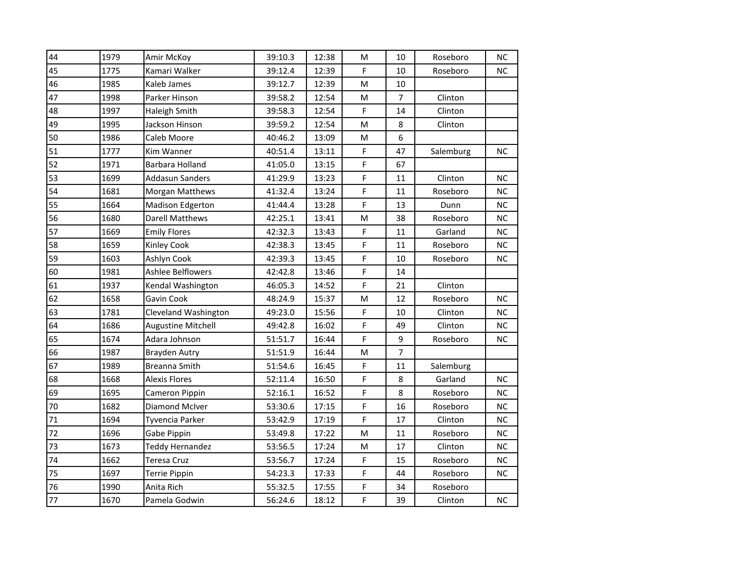| 44 | 1979 | Amir McKoy                | 39:10.3 | 12:38 | M           | 10 | Roseboro  | <b>NC</b> |
|----|------|---------------------------|---------|-------|-------------|----|-----------|-----------|
| 45 | 1775 | Kamari Walker             | 39:12.4 | 12:39 | F           | 10 | Roseboro  | <b>NC</b> |
| 46 | 1985 | Kaleb James               | 39:12.7 | 12:39 | M           | 10 |           |           |
| 47 | 1998 | Parker Hinson             | 39:58.2 | 12:54 | M           | 7  | Clinton   |           |
| 48 | 1997 | Haleigh Smith             | 39:58.3 | 12:54 | $\mathsf F$ | 14 | Clinton   |           |
| 49 | 1995 | Jackson Hinson            | 39:59.2 | 12:54 | M           | 8  | Clinton   |           |
| 50 | 1986 | Caleb Moore               | 40:46.2 | 13:09 | ${\sf M}$   | 6  |           |           |
| 51 | 1777 | Kim Wanner                | 40:51.4 | 13:11 | $\mathsf F$ | 47 | Salemburg | <b>NC</b> |
| 52 | 1971 | Barbara Holland           | 41:05.0 | 13:15 | F           | 67 |           |           |
| 53 | 1699 | <b>Addasun Sanders</b>    | 41:29.9 | 13:23 | F           | 11 | Clinton   | <b>NC</b> |
| 54 | 1681 | Morgan Matthews           | 41:32.4 | 13:24 | F           | 11 | Roseboro  | <b>NC</b> |
| 55 | 1664 | Madison Edgerton          | 41:44.4 | 13:28 | F           | 13 | Dunn      | <b>NC</b> |
| 56 | 1680 | <b>Darell Matthews</b>    | 42:25.1 | 13:41 | M           | 38 | Roseboro  | <b>NC</b> |
| 57 | 1669 | <b>Emily Flores</b>       | 42:32.3 | 13:43 | F           | 11 | Garland   | NC.       |
| 58 | 1659 | Kinley Cook               | 42:38.3 | 13:45 | F           | 11 | Roseboro  | <b>NC</b> |
| 59 | 1603 | Ashlyn Cook               | 42:39.3 | 13:45 | $\mathsf F$ | 10 | Roseboro  | <b>NC</b> |
| 60 | 1981 | <b>Ashlee Belflowers</b>  | 42:42.8 | 13:46 | $\mathsf F$ | 14 |           |           |
| 61 | 1937 | Kendal Washington         | 46:05.3 | 14:52 | $\mathsf F$ | 21 | Clinton   |           |
| 62 | 1658 | Gavin Cook                | 48:24.9 | 15:37 | M           | 12 | Roseboro  | <b>NC</b> |
| 63 | 1781 | Cleveland Washington      | 49:23.0 | 15:56 | F           | 10 | Clinton   | <b>NC</b> |
| 64 | 1686 | <b>Augustine Mitchell</b> | 49:42.8 | 16:02 | $\mathsf F$ | 49 | Clinton   | NC.       |
| 65 | 1674 | Adara Johnson             | 51:51.7 | 16:44 | $\mathsf F$ | 9  | Roseboro  | <b>NC</b> |
| 66 | 1987 | <b>Brayden Autry</b>      | 51:51.9 | 16:44 | M           | 7  |           |           |
| 67 | 1989 | Breanna Smith             | 51:54.6 | 16:45 | $\mathsf F$ | 11 | Salemburg |           |
| 68 | 1668 | <b>Alexis Flores</b>      | 52:11.4 | 16:50 | F           | 8  | Garland   | NC.       |
| 69 | 1695 | Cameron Pippin            | 52:16.1 | 16:52 | F           | 8  | Roseboro  | NС        |
| 70 | 1682 | Diamond McIver            | 53:30.6 | 17:15 | $\mathsf F$ | 16 | Roseboro  | <b>NC</b> |
| 71 | 1694 | Tyvencia Parker           | 53:42.9 | 17:19 | F           | 17 | Clinton   | <b>NC</b> |
| 72 | 1696 | Gabe Pippin               | 53:49.8 | 17:22 | M           | 11 | Roseboro  | <b>NC</b> |
| 73 | 1673 | <b>Teddy Hernandez</b>    | 53:56.5 | 17:24 | M           | 17 | Clinton   | <b>NC</b> |
| 74 | 1662 | Teresa Cruz               | 53:56.7 | 17:24 | $\mathsf F$ | 15 | Roseboro  | <b>NC</b> |
| 75 | 1697 | <b>Terrie Pippin</b>      | 54:23.3 | 17:33 | $\mathsf F$ | 44 | Roseboro  | NC.       |
| 76 | 1990 | Anita Rich                | 55:32.5 | 17:55 | $\mathsf F$ | 34 | Roseboro  |           |
| 77 | 1670 | Pamela Godwin             | 56:24.6 | 18:12 | F           | 39 | Clinton   | <b>NC</b> |
|    |      |                           |         |       |             |    |           |           |